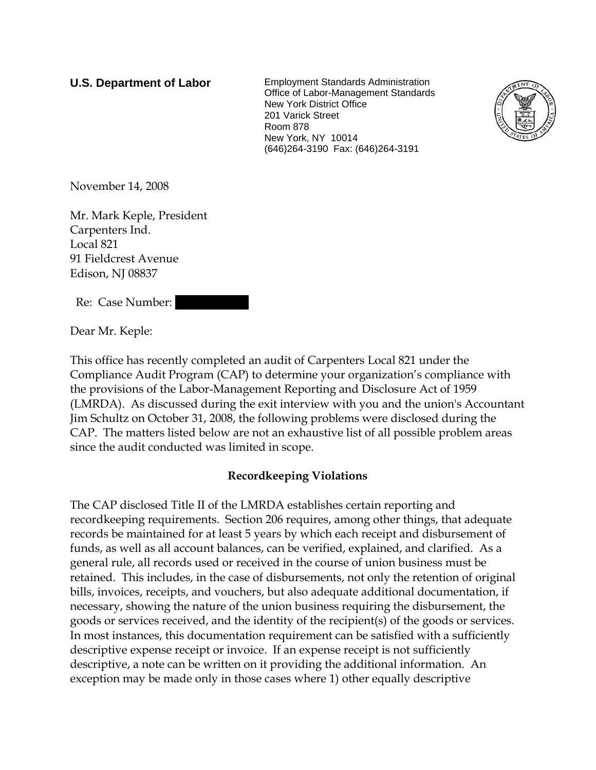**U.S. Department of Labor** Employment Standards Administration Office of Labor-Management Standards New York District Office 201 Varick Street Room 878 New York, NY 10014 (646)264-3190 Fax: (646)264-3191



November 14, 2008

Mr. Mark Keple, President Carpenters Ind. Local 821 91 Fieldcrest Avenue Edison, NJ 08837

Re: Case Number:

Dear Mr. Keple:

This office has recently completed an audit of Carpenters Local 821 under the Compliance Audit Program (CAP) to determine your organization's compliance with the provisions of the Labor-Management Reporting and Disclosure Act of 1959 (LMRDA). As discussed during the exit interview with you and the union's Accountant Jim Schultz on October 31, 2008, the following problems were disclosed during the CAP. The matters listed below are not an exhaustive list of all possible problem areas since the audit conducted was limited in scope.

# **Recordkeeping Violations**

The CAP disclosed Title II of the LMRDA establishes certain reporting and recordkeeping requirements. Section 206 requires, among other things, that adequate records be maintained for at least 5 years by which each receipt and disbursement of funds, as well as all account balances, can be verified, explained, and clarified. As a general rule, all records used or received in the course of union business must be retained. This includes, in the case of disbursements, not only the retention of original bills, invoices, receipts, and vouchers, but also adequate additional documentation, if necessary, showing the nature of the union business requiring the disbursement, the goods or services received, and the identity of the recipient(s) of the goods or services. In most instances, this documentation requirement can be satisfied with a sufficiently descriptive expense receipt or invoice. If an expense receipt is not sufficiently descriptive, a note can be written on it providing the additional information. An exception may be made only in those cases where 1) other equally descriptive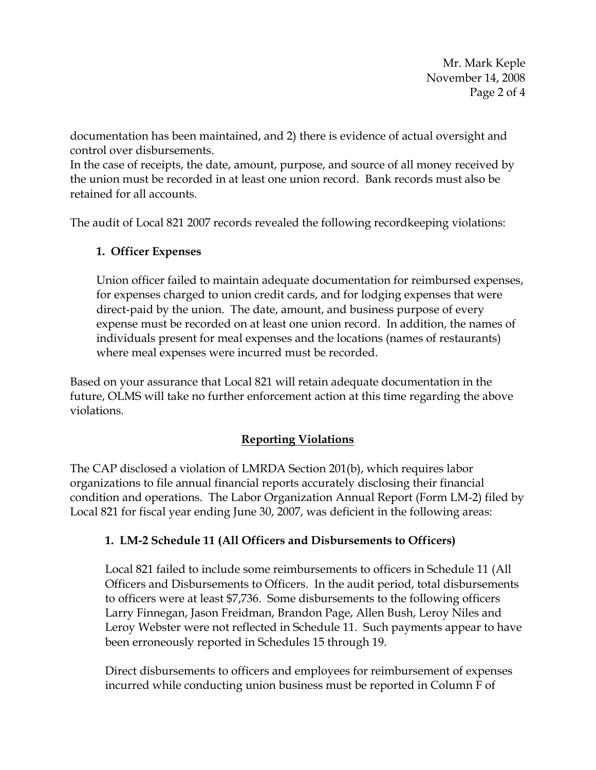Mr. Mark Keple November 14, 2008 Page 2 of 4

documentation has been maintained, and 2) there is evidence of actual oversight and control over disbursements.

In the case of receipts, the date, amount, purpose, and source of all money received by the union must be recorded in at least one union record. Bank records must also be retained for all accounts.

The audit of Local 821 2007 records revealed the following recordkeeping violations:

# **1. Officer Expenses**

Union officer failed to maintain adequate documentation for reimbursed expenses, for expenses charged to union credit cards, and for lodging expenses that were direct-paid by the union. The date, amount, and business purpose of every expense must be recorded on at least one union record. In addition, the names of individuals present for meal expenses and the locations (names of restaurants) where meal expenses were incurred must be recorded.

Based on your assurance that Local 821 will retain adequate documentation in the future, OLMS will take no further enforcement action at this time regarding the above violations.

### **Reporting Violations**

The CAP disclosed a violation of LMRDA Section 201(b), which requires labor organizations to file annual financial reports accurately disclosing their financial condition and operations. The Labor Organization Annual Report (Form LM-2) filed by Local 821 for fiscal year ending June 30, 2007, was deficient in the following areas:

### **1. LM-2 Schedule 11 (All Officers and Disbursements to Officers)**

Local 821 failed to include some reimbursements to officers in Schedule 11 (All Officers and Disbursements to Officers. In the audit period, total disbursements to officers were at least \$7,736. Some disbursements to the following officers Larry Finnegan, Jason Freidman, Brandon Page, Allen Bush, Leroy Niles and Leroy Webster were not reflected in Schedule 11. Such payments appear to have been erroneously reported in Schedules 15 through 19.

Direct disbursements to officers and employees for reimbursement of expenses incurred while conducting union business must be reported in Column F of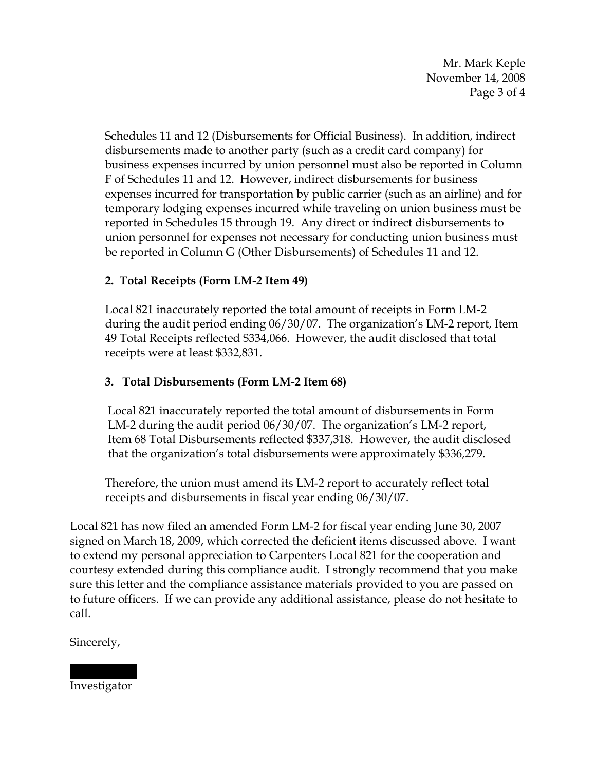Mr. Mark Keple November 14, 2008 Page 3 of 4

Schedules 11 and 12 (Disbursements for Official Business). In addition, indirect disbursements made to another party (such as a credit card company) for business expenses incurred by union personnel must also be reported in Column F of Schedules 11 and 12. However, indirect disbursements for business expenses incurred for transportation by public carrier (such as an airline) and for temporary lodging expenses incurred while traveling on union business must be reported in Schedules 15 through 19. Any direct or indirect disbursements to union personnel for expenses not necessary for conducting union business must be reported in Column G (Other Disbursements) of Schedules 11 and 12.

# **2. Total Receipts (Form LM-2 Item 49)**

Local 821 inaccurately reported the total amount of receipts in Form LM-2 during the audit period ending 06/30/07. The organization's LM-2 report, Item 49 Total Receipts reflected \$334,066. However, the audit disclosed that total receipts were at least \$332,831.

### **3. Total Disbursements (Form LM-2 Item 68)**

 Local 821 inaccurately reported the total amount of disbursements in Form LM-2 during the audit period 06/30/07. The organization's LM-2 report, Item 68 Total Disbursements reflected \$337,318. However, the audit disclosed that the organization's total disbursements were approximately \$336,279.

Therefore, the union must amend its LM-2 report to accurately reflect total receipts and disbursements in fiscal year ending 06/30/07.

Local 821 has now filed an amended Form LM-2 for fiscal year ending June 30, 2007 signed on March 18, 2009, which corrected the deficient items discussed above. I want to extend my personal appreciation to Carpenters Local 821 for the cooperation and courtesy extended during this compliance audit. I strongly recommend that you make sure this letter and the compliance assistance materials provided to you are passed on to future officers. If we can provide any additional assistance, please do not hesitate to call.

Sincerely,

||||| |||| Investigator